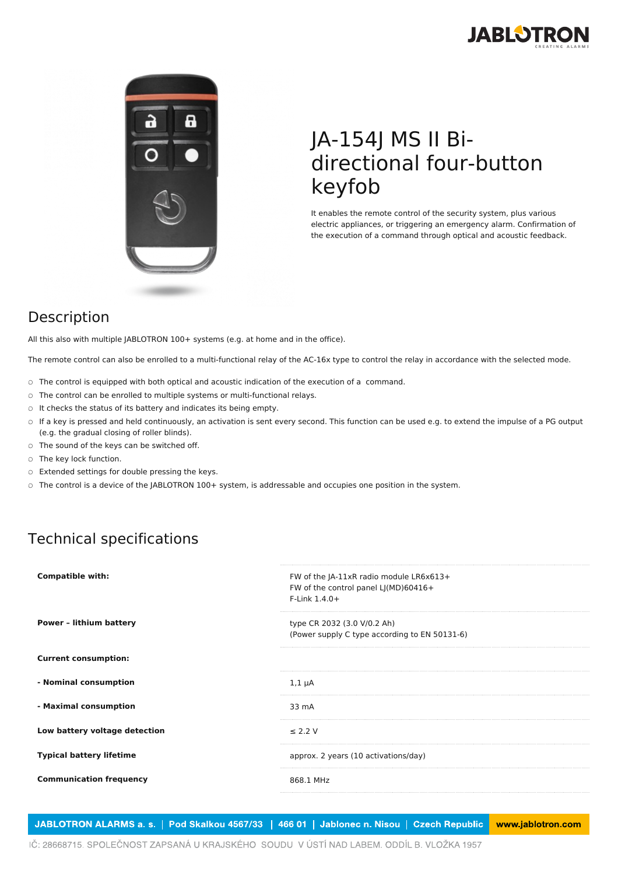



## JA-154J MS II Bidirectional four-button keyfob

It enables the remote control of the security system, plus various electric appliances, or triggering an emergency alarm. Confirmation of the execution of a command through optical and acoustic feedback.

## Description

All this also with multiple JABLOTRON 100+ systems (e.g. at home and in the office).

The remote control can also be enrolled to a multi-functional relay of the AC-16x type to control the relay in accordance with the selected mode.

- The control is equipped with both optical and acoustic indication of the execution of a command.
- The control can be enrolled to multiple systems or multi-functional relays.
- It checks the status of its battery and indicates its being empty.
- If a key is pressed and held continuously, an activation is sent every second. This function can be used e.g. to extend the impulse of a PG output (e.g. the gradual closing of roller blinds).
- The sound of the keys can be switched off.
- The key lock function.
- Extended settings for double pressing the keys.
- The control is a device of the JABLOTRON 100+ system, is addressable and occupies one position in the system.

## Technical specifications

| <b>Compatible with:</b>         | FW of the JA-11xR radio module LR6x613+<br>FW of the control panel LJ(MD)60416+<br>$F$ -Link 1.4.0+ |
|---------------------------------|-----------------------------------------------------------------------------------------------------|
| <b>Power - lithium battery</b>  | type CR 2032 (3.0 V/0.2 Ah)<br>(Power supply C type according to EN 50131-6)                        |
| <b>Current consumption:</b>     |                                                                                                     |
| - Nominal consumption           | $1,1 \mu A$                                                                                         |
| - Maximal consumption           | 33 mA                                                                                               |
| Low battery voltage detection   | $\leq$ 2.2 V                                                                                        |
| <b>Typical battery lifetime</b> | approx. 2 years (10 activations/day)                                                                |
| <b>Communication frequency</b>  | 868.1 MHz                                                                                           |
|                                 |                                                                                                     |

JABLOTRON ALARMS a. s. | Pod Skalkou 4567/33 | 466 01 | Jablonec n. Nisou | Czech Republic www.jablotron.com